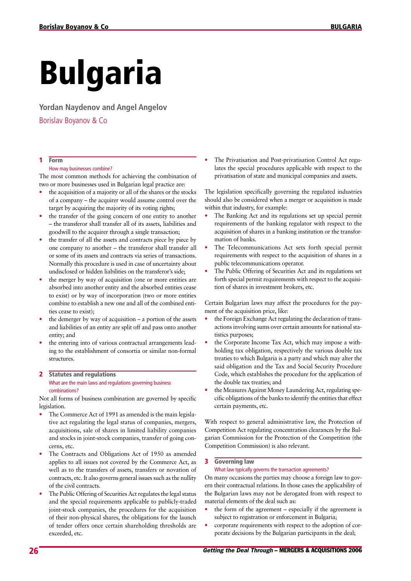# Bulgaria

**Yordan Naydenov and Angel Angelov**

Borislav Boyanov & Co

# 1 Form

# How may businesses combine?

The most common methods for achieving the combination of two or more businesses used in Bulgarian legal practice are:

- the acquisition of a majority or all of the shares or the stocks of a company – the acquirer would assume control over the target by acquiring the majority of its voting rights;
- the transfer of the going concern of one entity to another – the transferor shall transfer all of its assets, liabilities and goodwill to the acquirer through a single transaction;
- the transfer of all the assets and contracts piece by piece by one company to another – the transferor shall transfer all or some of its assets and contracts via series of transactions. Normally this procedure is used in case of uncertainty about undisclosed or hidden liabilities on the transferor's side;
- the merger by way of acquisition (one or more entities are absorbed into another entity and the absorbed entities cease to exist) or by way of incorporation (two or more entities combine to establish a new one and all of the combined entities cease to exist);
- the demerger by way of acquisition  $-$  a portion of the assets and liabilities of an entity are split off and pass onto another entity; and
- the entering into of various contractual arrangements leading to the establishment of consortia or similar non-formal structures.

# 2 Statutes and regulations What are the main laws and regulations governing business combinations?

Not all forms of business combination are governed by specific legislation.

- The Commerce Act of 1991 as amended is the main legislative act regulating the legal status of companies, mergers, acquisitions, sale of shares in limited liability companies and stocks in joint-stock companies, transfer of going concerns, etc.
- The Contracts and Obligations Act of 1950 as amended applies to all issues not covered by the Commerce Act, as well as to the transfers of assets, transfers or novation of contracts, etc. It also governs general issues such as the nullity of the civil contracts.
- The Public Offering of Securities Act regulates the legal status and the special requirements applicable to publicly-traded joint-stock companies, the procedures for the acquisition of their non-physical shares, the obligations for the launch of tender offers once certain shareholding thresholds are exceeded, etc.

The Privatisation and Post-privatisation Control Act regulates the special procedures applicable with respect to the privatisation of state and municipal companies and assets.

The legislation specifically governing the regulated industries should also be considered when a merger or acquisition is made within that industry, for example:

- The Banking Act and its regulations set up special permit requirements of the banking regulator with respect to the acquisition of shares in a banking institution or the transformation of banks.
- The Telecommunications Act sets forth special permit requirements with respect to the acquisition of shares in a public telecommunications operator.
- The Public Offering of Securities Act and its regulations set forth special permit requirements with respect to the acquisition of shares in investment brokers, etc.

Certain Bulgarian laws may affect the procedures for the payment of the acquisition price, like:

- the Foreign Exchange Act regulating the declaration of transactions involving sums over certain amounts for national statistics purposes;
- the Corporate Income Tax Act, which may impose a withholding tax obligation, respectively the various double tax treaties to which Bulgaria is a party and which may alter the said obligation and the Tax and Social Security Procedure Code, which establishes the procedure for the application of the double tax treaties; and
- the Measures Against Money Laundering Act, regulating specific obligations of the banks to identify the entities that effect certain payments, etc.

With respect to general administrative law, the Protection of Competition Act regulating concentration clearances by the Bulgarian Commission for the Protection of the Competition (the Competition Commission) is also relevant.

# 3 Governing law

# What law typically governs the transaction agreements?

On many occasions the parties may choose a foreign law to govern their contractual relations. In those cases the applicability of the Bulgarian laws may not be derogated from with respect to material elements of the deal such as:

- the form of the agreement especially if the agreement is subject to registration or enforcement in Bulgaria;
- corporate requirements with respect to the adoption of corporate decisions by the Bulgarian participants in the deal;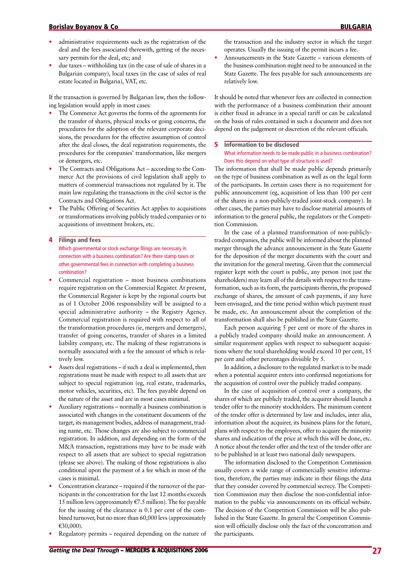- administrative requirements such as the registration of the deal and the fees associated therewith, getting of the necessary permits for the deal, etc; and
- due taxes withholding tax (in the case of sale of shares in a Bulgarian company), local taxes (in the case of sales of real estate located in Bulgaria), VAT, etc.

If the transaction is governed by Bulgarian law, then the following legislation would apply in most cases:

- The Commerce Act governs the forms of the agreements for the transfer of shares, physical stocks or going concerns, the procedures for the adoption of the relevant corporate decisions, the procedures for the effective assumption of control after the deal closes, the deal registration requirements, the procedures for the companies' transformation, like mergers or demergers, etc.
- The Contracts and Obligations Act according to the Commerce Act the provisions of civil legislation shall apply to matters of commercial transactions not regulated by it. The main law regulating the transactions in the civil sector is the Contracts and Obligations Act.
- The Public Offering of Securities Act applies to acquisitions or transformations involving publicly traded companies or to acquisitions of investment brokers, etc.

#### 4 Filings and fees

Which governmental or stock exchange filings are necessary in connection with a business combination? Are there stamp taxes or other governmental fees in connection with completing a business combination?

- Commercial registration most business combinations require registration on the Commercial Register. At present, the Commercial Register is kept by the regional courts but as of 1 October 2006 responsibility will be assigned to a special administrative authority – the Registry Agency. Commercial registration is required with respect to all of the transformation procedures (ie, mergers and demergers), transfer of going concerns, transfer of shares in a limited liability company, etc. The making of these registrations is normally associated with a fee the amount of which is relatively low.
- Assets deal registrations if such a deal is implemented, then registrations must be made with respect to all assets that are subject to special registration (eg, real estate, trademarks, motor vehicles, securities, etc). The fees payable depend on the nature of the asset and are in most cases minimal.
- Auxiliary registrations normally a business combination is associated with changes in the constituent documents of the target, its management bodies, address of management, trading name, etc. Those changes are also subject to commercial registration. In addition, and depending on the form of the M&A transaction, registrations may have to be made with respect to all assets that are subject to special registration (please see above). The making of those registrations is also conditional upon the payment of a fee which in most of the cases is minimal.
- Concentration clearance required if the turnover of the participants in the concentration for the last 12 months exceeds 15 million levs (approximately  $E$ 7.5 million). The fee payable for the issuing of the clearance is 0.1 per cent of the combined turnover, but no more than 60,000 levs (approximately E30,000).
- Regulatory permits required depending on the nature of

the transaction and the industry sector in which the target operates. Usually the issuing of the permit incurs a fee.

• Announcements in the State Gazette – various elements of the business combination might need to be announced in the State Gazette. The fees payable for such announcements are relatively low.

It should be noted that whenever fees are collected in connection with the performance of a business combination their amount is either fixed in advance in a special tariff or can be calculated on the basis of rules contained in such a document and does not depend on the judgement or discretion of the relevant officials.

# **5** Information to be disclosed What information needs to be made public in a business combination? Does this depend on what type of structure is used?

The information that shall be made public depends primarily on the type of business combination as well as on the legal form of the participants. In certain cases there is no requirement for public announcement (eg, acquisition of less than 100 per cent of the shares in a non-publicly-traded joint-stock company). In other cases, the parties may have to disclose material amounts of information to the general public, the regulators or the Competition Commission.

In the case of a planned transformation of non-publiclytraded companies, the public will be informed about the planned merger through the advance announcement in the State Gazette for the deposition of the merger documents with the court and the invitation for the general meeting. Given that the commercial register kept with the court is public, any person (not just the shareholders) may learn all of the details with respect to the transformation, such as its form, the participants therein, the proposed exchange of shares, the amount of cash payments, if any have been envisaged, and the time period within which payment must be made, etc. An announcement about the completion of the transformation shall also be published in the State Gazette.

Each person acquiring 5 per cent or more of the shares in a publicly traded company should make an announcement. A similar requirement applies with respect to subsequent acquisitions where the total shareholding would exceed 10 per cent, 15 per cent and other percentages divisible by 5.

In addition, a disclosure to the regulated market is to be made when a potential acquirer enters into confirmed negotiations for the acquisition of control over the publicly traded company.

In the case of acquisition of control over a company, the shares of which are publicly traded, the acquirer should launch a tender offer to the minority stockholders. The minimum content of the tender offer is determined by law and includes, inter alia, information about the acquirer, its business plans for the future, plans with respect to the employees, offer to acquire the minority shares and indication of the price at which this will be done, etc. A notice about the tender offer and the text of the tender offer are to be published in at least two national daily newspapers.

The information disclosed to the Competition Commission usually covers a wide range of commercially sensitive information, therefore, the parties may indicate in their filings the data that they consider covered by commercial secrecy. The Competition Commission may then disclose the non-confidential information to the public via announcements on its official website. The decision of the Competition Commission will be also published in the State Gazette. In general the Competition Commission will officially disclose only the fact of the concentration and the participants.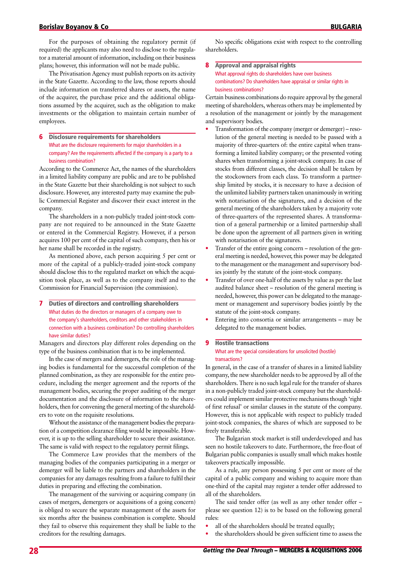For the purposes of obtaining the regulatory permit (if required) the applicants may also need to disclose to the regulator a material amount of information, including on their business plans; however, this information will not be made public.

The Privatisation Agency must publish reports on its activity in the State Gazette. According to the law, those reports should include information on transferred shares or assets, the name of the acquirer, the purchase price and the additional obligations assumed by the acquirer, such as the obligation to make investments or the obligation to maintain certain number of employees.

# 6 Disclosure requirements for shareholders What are the disclosure requirements for major shareholders in a company? Are the requirements affected if the company is a party to a business combination?

According to the Commerce Act, the names of the shareholders in a limited liability company are public and are to be published in the State Gazette but their shareholding is not subject to such disclosure. However, any interested party may examine the public Commercial Register and discover their exact interest in the company.

The shareholders in a non-publicly traded joint-stock company are not required to be announced in the State Gazette or entered in the Commercial Registry. However, if a person acquires 100 per cent of the capital of such company, then his or her name shall be recorded in the registry.

As mentioned above, each person acquiring 5 per cent or more of the capital of a publicly-traded joint-stock company should disclose this to the regulated market on which the acquisition took place, as well as to the company itself and to the Commission for Financial Supervision (the commission).

7 Duties of directors and controlling shareholders What duties do the directors or managers of a company owe to the company's shareholders, creditors and other stakeholders in connection with a business combination? Do controlling shareholders have similar duties?

Managers and directors play different roles depending on the type of the business combination that is to be implemented.

In the case of mergers and demergers, the role of the managing bodies is fundamental for the successful completion of the planned combination, as they are responsible for the entire procedure, including the merger agreement and the reports of the management bodies, securing the proper auditing of the merger documentation and the disclosure of information to the shareholders, then for convening the general meeting of the shareholders to vote on the requisite resolutions.

Without the assistance of the management bodies the preparation of a competition clearance filing would be impossible. However, it is up to the selling shareholder to secure their assistance. The same is valid with respect to the regulatory permit filings.

The Commerce Law provides that the members of the managing bodies of the companies participating in a merger or demerger will be liable to the partners and shareholders in the companies for any damages resulting from a failure to fulfil their duties in preparing and effecting the combination.

The management of the surviving or acquiring company (in cases of mergers, demergers or acquisitions of a going concern) is obliged to secure the separate management of the assets for six months after the business combination is complete. Should they fail to observe this requirement they shall be liable to the creditors for the resulting damages.

No specific obligations exist with respect to the controlling shareholders.

# 8 Approval and appraisal rights What approval rights do shareholders have over business combinations? Do shareholders have appraisal or similar rights in business combinations?

Certain business combinations do require approval by the general meeting of shareholders, whereas others may be implemented by a resolution of the management or jointly by the management and supervisory bodies.

- Transformation of the company (merger or demerger) resolution of the general meeting is needed to be passed with a majority of three-quarters of: the entire capital when transforming a limited liability company; or the presented voting shares when transforming a joint-stock company. In case of stocks from different classes, the decision shall be taken by the stockowners from each class. To transform a partnership limited by stocks, it is necessary to have a decision of the unlimited liability partners taken unanimously in writing with notarisation of the signatures, and a decision of the general meeting of the shareholders taken by a majority vote of three-quarters of the represented shares. A transformation of a general partnership or a limited partnership shall be done upon the agreement of all partners given in writing with notarisation of the signatures.
- Transfer of the entire going concern resolution of the general meeting is needed, however, this power may be delegated to the management or the management and supervisory bodies jointly by the statute of the joint-stock company.
- Transfer of over one-half of the assets by value as per the last audited balance sheet – resolution of the general meeting is needed, however, this power can be delegated to the management or management and supervisory bodies jointly by the statute of the joint-stock company.
- Entering into consortia or similar arrangements may be delegated to the management bodies.

# **9** Hostile transactions What are the special considerations for unsolicited (hostile) transactions?

In general, in the case of a transfer of shares in a limited liability company, the new shareholder needs to be approved by all of the shareholders. There is no such legal rule for the transfer of shares in a non-publicly traded joint-stock company but the shareholders could implement similar protective mechanisms though 'right of first refusal' or similar clauses in the statute of the company. However, this is not applicable with respect to publicly traded joint-stock companies, the shares of which are supposed to be freely transferable.

The Bulgarian stock market is still underdeveloped and has seen no hostile takeovers to date. Furthermore, the free-float of Bulgarian public companies is usually small which makes hostile takeovers practically impossible.

As a rule, any person possessing 5 per cent or more of the capital of a public company and wishing to acquire more than one-third of the capital may register a tender offer addressed to all of the shareholders.

The said tender offer (as well as any other tender offer – please see question 12) is to be based on the following general rules:

- all of the shareholders should be treated equally;
- the shareholders should be given sufficient time to assess the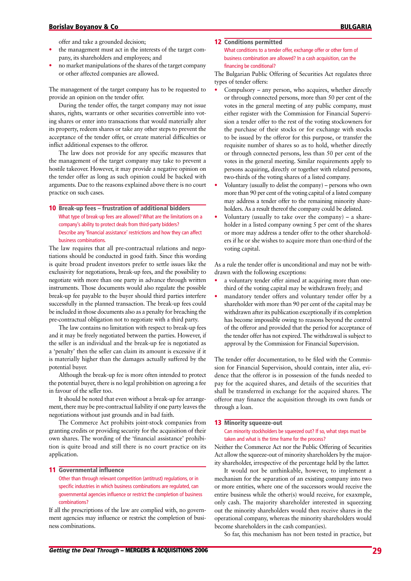# Borislav Boyanov & Co **bulgariation** Bulgarian and the second bulgarian and the second bulgarian and the second bulgarian and the second bulgarian and the second bulgarian and the second bulgarian and the second bulgarian

offer and take a grounded decision;

- the management must act in the interests of the target company, its shareholders and employees; and
- no market manipulations of the shares of the target company or other affected companies are allowed.

The management of the target company has to be requested to provide an opinion on the tender offer.

During the tender offer, the target company may not issue shares, rights, warrants or other securities convertible into voting shares or enter into transactions that would materially alter its property, redeem shares or take any other steps to prevent the acceptance of the tender offer, or create material difficulties or inflict additional expenses to the offeror.

The law does not provide for any specific measures that the management of the target company may take to prevent a hostile takeover. However, it may provide a negative opinion on the tender offer as long as such opinion could be backed with arguments. Due to the reasons explained above there is no court practice on such cases.

10 Break-up fees – frustration of additional bidders What type of break-up fees are allowed? What are the limitations on a company's ability to protect deals from third-party bidders? Describe any 'financial assistance' restrictions and how they can affect business combinations.

The law requires that all pre-contractual relations and negotiations should be conducted in good faith. Since this wording is quite broad prudent investors prefer to settle issues like the exclusivity for negotiations, break-up fees, and the possibility to negotiate with more than one party in advance through written instruments. Those documents would also regulate the possible break-up fee payable to the buyer should third parties interfere successfully in the planned transaction. The break-up fees could be included in those documents also as a penalty for breaching the pre-contractual obligation not to negotiate with a third party.

The law contains no limitation with respect to break-up fees and it may be freely negotiated between the parties. However, if the seller is an individual and the break-up fee is negotiated as a 'penalty' then the seller can claim its amount is excessive if it is materially higher than the damages actually suffered by the potential buyer.

Although the break-up fee is more often intended to protect the potential buyer, there is no legal prohibition on agreeing a fee in favour of the seller too.

It should be noted that even without a break-up fee arrangement, there may be pre-contractual liability if one party leaves the negotiations without just grounds and in bad faith.

The Commerce Act prohibits joint-stock companies from granting credits or providing security for the acquisition of their own shares. The wording of the 'financial assistance' prohibition is quite broad and still there is no court practice on its application.

#### 11 Governmental influence

Other than through relevant competition (antitrust) regulations, or in specific industries in which business combinations are regulated, can governmental agencies influence or restrict the completion of business combinations?

If all the prescriptions of the law are complied with, no government agencies may influence or restrict the completion of business combinations.

# 12 Conditions permitted

What conditions to a tender offer, exchange offer or other form of business combination are allowed? In a cash acquisition, can the financing be conditional?

The Bulgarian Public Offering of Securities Act regulates three types of tender offers:

- Compulsory any person, who acquires, whether directly or through connected persons, more than 50 per cent of the votes in the general meeting of any public company, must either register with the Commission for Financial Supervision a tender offer to the rest of the voting stockowners for the purchase of their stocks or for exchange with stocks to be issued by the offeror for this purpose, or transfer the requisite number of shares so as to hold, whether directly or through connected persons, less than 50 per cent of the votes in the general meeting. Similar requirements apply to persons acquiring, directly or together with related persons, two-thirds of the voting shares of a listed company.
- Voluntary (usually to delist the company) persons who own more than 90 per cent of the voting capital of a listed company may address a tender offer to the remaining minority shareholders. As a result thereof the company could be delisted.
- Voluntary (usually to take over the company) a shareholder in a listed company owning 5 per cent of the shares or more may address a tender offer to the other shareholders if he or she wishes to acquire more than one-third of the voting capital.

As a rule the tender offer is unconditional and may not be withdrawn with the following exceptions:

- a voluntary tender offer aimed at acquiring more than onethird of the voting capital may be withdrawn freely; and
- mandatory tender offers and voluntary tender offer by a shareholder with more than 90 per cent of the capital may be withdrawn after its publication exceptionally if its completion has become impossible owing to reasons beyond the control of the offeror and provided that the period for acceptance of the tender offer has not expired. The withdrawal is subject to approval by the Commission for Financial Supervision.

The tender offer documentation, to be filed with the Commission for Financial Supervision, should contain, inter alia, evidence that the offeror is in possession of the funds needed to pay for the acquired shares, and details of the securities that shall be transferred in exchange for the acquired shares. The offeror may finance the acquisition through its own funds or through a loan.

# 13 Minority squeeze-out

Can minority stockholders be squeezed out? If so, what steps must be taken and what is the time frame for the process?

Neither the Commerce Act nor the Public Offering of Securities Act allow the squeeze-out of minority shareholders by the majority shareholder, irrespective of the percentage held by the latter.

It would not be unthinkable, however, to implement a mechanism for the separation of an existing company into two or more entities, where one of the successors would receive the entire business while the other(s) would receive, for exaxmple, only cash. The majority shareholder interested in squeezing out the minority shareholders would then receive shares in the operational company, whereas the minority shareholders would become shareholders in the cash compan(ies).

So far, this mechanism has not been tested in practice, but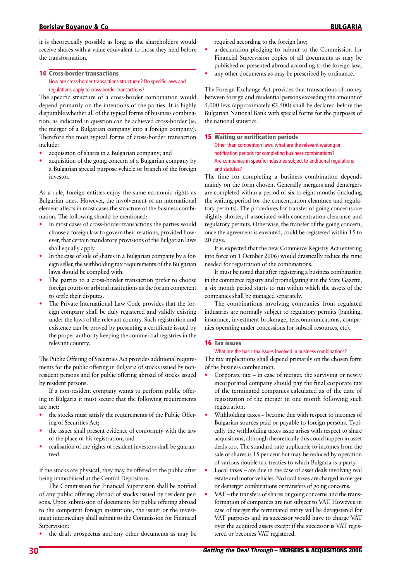it is theoretically possible as long as the shareholders would receive shares with a value equivalent to those they held before the transformation.

# 14 Cross-border transactions How are cross-border transactions structured? Do specific laws and regulations apply to cross-border transactions?

The specific structure of a cross-border combination would depend primarily on the intentions of the parties. It is highly disputable whether all of the typical forms of business combination, as indicated in question can be achieved cross-border (ie, the merger of a Bulgarian company into a foreign company). Therefore the most typical forms of cross-border transaction include:

- acquisition of shares in a Bulgarian company; and
- acquisition of the going concern of a Bulgarian company by a Bulgarian special purpose vehicle or branch of the foreign investor.

As a rule, foreign entities enjoy the same economic rights as Bulgarian ones. However, the involvement of an international element affects in most cases the structure of the business combination. The following should be mentioned:

- In most cases of cross-border transactions the parties would choose a foreign law to govern their relations, provided however, that certain mandatory provisions of the Bulgarian laws shall equally apply.
- In the case of sale of shares in a Bulgarian company by a foreign seller, the withholding tax requirements of the Bulgarian laws should be complied with.
- The parties to a cross-border transaction prefer to choose foreign courts or arbitral institutions as the forum competent to settle their disputes.
- The Private International Law Code provides that the foreign company shall be duly registered and validly existing under the laws of the relevant country. Such registration and existence can be proved by presenting a certificate issued by the proper authority keeping the commercial registries in the relevant country.

The Public Offering of Securities Act provides additional requirements for the public offering in Bulgaria of stocks issued by nonresident persons and for public offering abroad of stocks issued by resident persons.

If a non-resident company wants to perform public offering in Bulgaria it must secure that the following requirements are met:

- the stocks must satisfy the requirements of the Public Offering of Securities Act;
- the issuer shall present evidence of conformity with the law of the place of his registration; and
- realisation of the rights of resident investors shall be guaranteed.

If the stocks are physical, they may be offered to the public after being immobilised at the Central Depository.

The Commission for Financial Supervision shall be notified of any public offering abroad of stocks issued by resident persons. Upon submission of documents for public offering abroad to the competent foreign institutions, the issuer or the investment intermediary shall submit to the Commission for Financial Supervision:

• the draft prospectus and any other documents as may be

required according to the foreign law;

- a declaration pledging to submit to the Commission for Financial Supervision copies of all documents as may be published or presented abroad according to the foreign law;
- any other documents as may be prescribed by ordinance.

The Foreign Exchange Act provides that transactions of money between foreign and residential persons exceeding the amount of 5,000 levs (approximately  $\epsilon$ 2,500) shall be declared before the Bulgarian National Bank with special forms for the purposes of the national statistics.

# **15** Waiting or notification periods

Other than competition laws, what are the relevant waiting or notification periods for completing business combinations? Are companies in specific industries subject to additional regulations and statutes?

The time for completing a business combination depends mainly on the form chosen. Generally mergers and demergers are completed within a period of six to eight months (including the waiting period for the concentration clearance and regulatory permits). The procedures for transfer of going concerns are slightly shorter, if associated with concentration clearance and regulatory permits. Otherwise, the transfer of the going concern, once the agreement is executed, could be registered within 15 to 20 days.

It is expected that the new Commerce Registry Act (entering into force on 1 October 2006) would drastically reduce the time needed for registration of the combinations.

It must be noted that after registering a business combination in the commerce registry and promulgating it in the State Gazette, a six month period starts to run within which the assets of the companies shall be managed separately.

The combinations involving companies from regulated industries are normally subject to regulatory permits (banking, insurance, investment brokerage, telecommunications, companies operating under concessions for subsoil resources, etc).

# 16 Tax issues

# What are the basic tax issues involved in business combinations?

The tax implications shall depend primarily on the chosen form of the business combination.

- Corporate  $tax in case of merger, the surviving or newly$ incorporated company should pay the final corporate tax of the terminated companies calculated as of the date of registration of the merger in one month following such registration.
- Withholding taxes become due with respect to incomes of Bulgarian sources paid or payable to foreign persons. Typically the withholding taxes issue arises with respect to share acquisitions, although theoretically this could happen in asset deals too. The standard rate applicable to incomes from the sale of shares is 15 per cent but may be reduced by operation of various double tax treaties to which Bulgaria is a party.
- Local taxes are due in the case of asset deals involving real estate and motor vehicles. No local taxes are charged in merger or demerger combinations or transfers of going concerns.
- VAT the transfers of shares or going concerns and the transformation of companies are not subject to VAT. However, in case of merger the terminated entity will be deregistered for VAT purposes and its successor would have to charge VAT over the acquired assets except if the successor is VAT registered or becomes VAT registered.